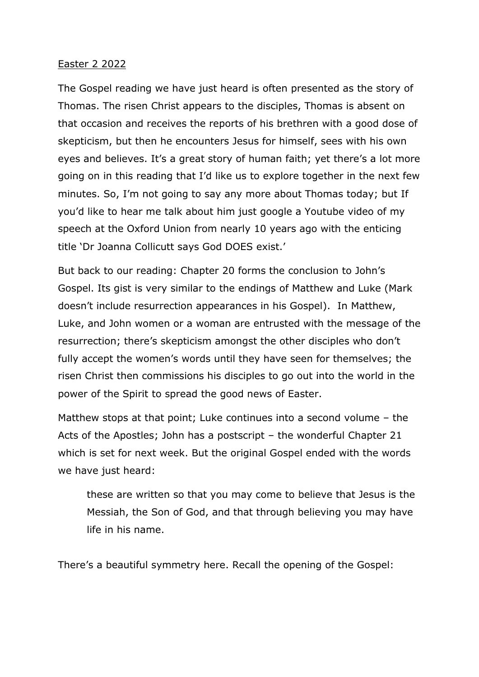## Easter 2 2022

The Gospel reading we have just heard is often presented as the story of Thomas. The risen Christ appears to the disciples, Thomas is absent on that occasion and receives the reports of his brethren with a good dose of skepticism, but then he encounters Jesus for himself, sees with his own eyes and believes. It's a great story of human faith; yet there's a lot more going on in this reading that I'd like us to explore together in the next few minutes. So, I'm not going to say any more about Thomas today; but If you'd like to hear me talk about him just google a Youtube video of my speech at the Oxford Union from nearly 10 years ago with the enticing title 'Dr Joanna Collicutt says God DOES exist.'

But back to our reading: Chapter 20 forms the conclusion to John's Gospel. Its gist is very similar to the endings of Matthew and Luke (Mark doesn't include resurrection appearances in his Gospel). In Matthew, Luke, and John women or a woman are entrusted with the message of the resurrection; there's skepticism amongst the other disciples who don't fully accept the women's words until they have seen for themselves; the risen Christ then commissions his disciples to go out into the world in the power of the Spirit to spread the good news of Easter.

Matthew stops at that point; Luke continues into a second volume – the Acts of the Apostles; John has a postscript – the wonderful Chapter 21 which is set for next week. But the original Gospel ended with the words we have just heard:

these are written so that you may come to believe that Jesus is the Messiah, the Son of God, and that through believing you may have life in his name.

There's a beautiful symmetry here. Recall the opening of the Gospel: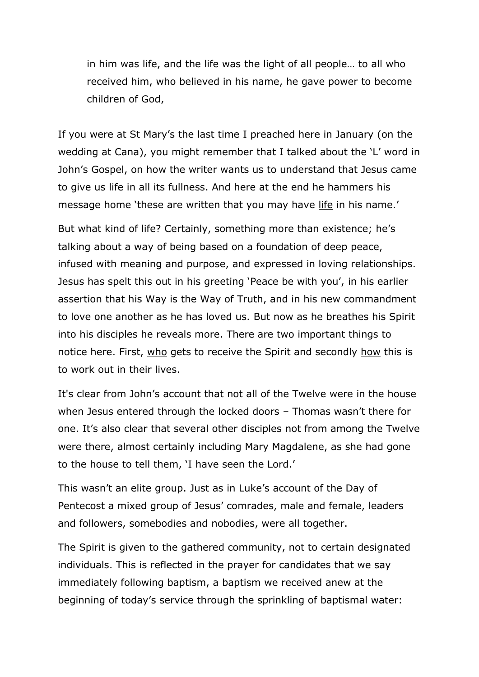in him was life, and the life was the light of all people… to all who received him, who believed in his name, he gave power to become children of God,

If you were at St Mary's the last time I preached here in January (on the wedding at Cana), you might remember that I talked about the 'L' word in John's Gospel, on how the writer wants us to understand that Jesus came to give us life in all its fullness. And here at the end he hammers his message home 'these are written that you may have life in his name.'

But what kind of life? Certainly, something more than existence; he's talking about a way of being based on a foundation of deep peace, infused with meaning and purpose, and expressed in loving relationships. Jesus has spelt this out in his greeting 'Peace be with you', in his earlier assertion that his Way is the Way of Truth, and in his new commandment to love one another as he has loved us. But now as he breathes his Spirit into his disciples he reveals more. There are two important things to notice here. First, who gets to receive the Spirit and secondly how this is to work out in their lives.

It's clear from John's account that not all of the Twelve were in the house when Jesus entered through the locked doors – Thomas wasn't there for one. It's also clear that several other disciples not from among the Twelve were there, almost certainly including Mary Magdalene, as she had gone to the house to tell them, 'I have seen the Lord.'

This wasn't an elite group. Just as in Luke's account of the Day of Pentecost a mixed group of Jesus' comrades, male and female, leaders and followers, somebodies and nobodies, were all together.

The Spirit is given to the gathered community, not to certain designated individuals. This is reflected in the prayer for candidates that we say immediately following baptism, a baptism we received anew at the beginning of today's service through the sprinkling of baptismal water: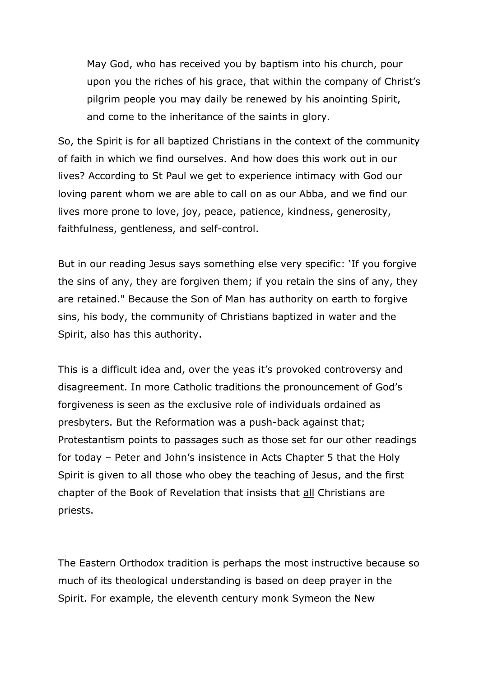May God, who has received you by baptism into his church, pour upon you the riches of his grace, that within the company of Christ's pilgrim people you may daily be renewed by his anointing Spirit, and come to the inheritance of the saints in glory.

So, the Spirit is for all baptized Christians in the context of the community of faith in which we find ourselves. And how does this work out in our lives? According to St Paul we get to experience intimacy with God our loving parent whom we are able to call on as our Abba, and we find our lives more prone to love, joy, peace, patience, kindness, generosity, faithfulness, gentleness, and self-control.

But in our reading Jesus says something else very specific: 'If you forgive the sins of any, they are forgiven them; if you retain the sins of any, they are retained." Because the Son of Man has authority on earth to forgive sins, his body, the community of Christians baptized in water and the Spirit, also has this authority.

This is a difficult idea and, over the yeas it's provoked controversy and disagreement. In more Catholic traditions the pronouncement of God's forgiveness is seen as the exclusive role of individuals ordained as presbyters. But the Reformation was a push-back against that; Protestantism points to passages such as those set for our other readings for today – Peter and John's insistence in Acts Chapter 5 that the Holy Spirit is given to all those who obey the teaching of Jesus, and the first chapter of the Book of Revelation that insists that all Christians are priests.

The Eastern Orthodox tradition is perhaps the most instructive because so much of its theological understanding is based on deep prayer in the Spirit. For example, the eleventh century monk Symeon the New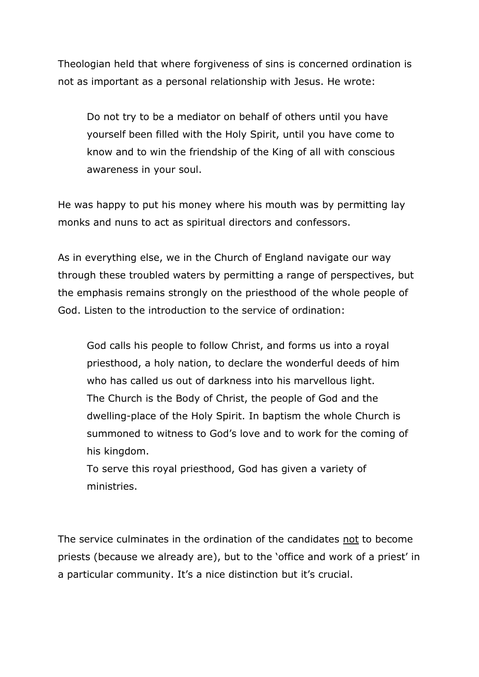Theologian held that where forgiveness of sins is concerned ordination is not as important as a personal relationship with Jesus. He wrote:

Do not try to be a mediator on behalf of others until you have yourself been filled with the Holy Spirit, until you have come to know and to win the friendship of the King of all with conscious awareness in your soul.

He was happy to put his money where his mouth was by permitting lay monks and nuns to act as spiritual directors and confessors.

As in everything else, we in the Church of England navigate our way through these troubled waters by permitting a range of perspectives, but the emphasis remains strongly on the priesthood of the whole people of God. Listen to the introduction to the service of ordination:

God calls his people to follow Christ, and forms us into a royal priesthood, a holy nation, to declare the wonderful deeds of him who has called us out of darkness into his marvellous light. The Church is the Body of Christ, the people of God and the dwelling-place of the Holy Spirit. In baptism the whole Church is summoned to witness to God's love and to work for the coming of his kingdom.

To serve this royal priesthood, God has given a variety of ministries.

The service culminates in the ordination of the candidates not to become priests (because we already are), but to the 'office and work of a priest' in a particular community. It's a nice distinction but it's crucial.